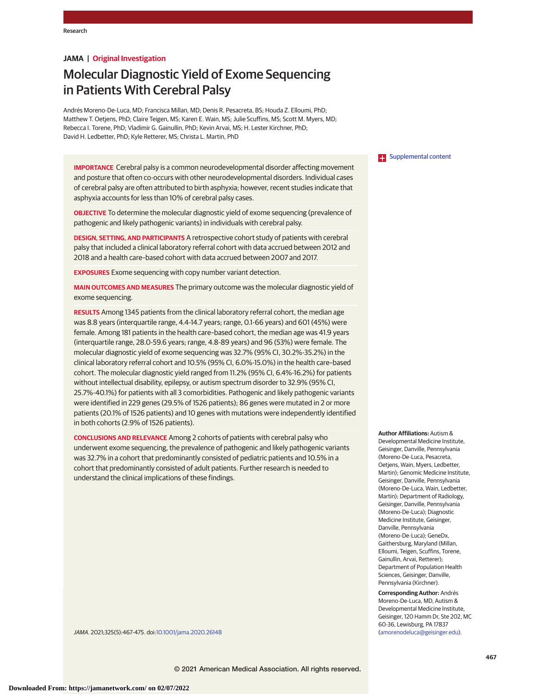# **JAMA | Original Investigation**

# Molecular Diagnostic Yield of Exome Sequencing in Patients With Cerebral Palsy

Andrés Moreno-De-Luca, MD; Francisca Millan, MD; Denis R. Pesacreta, BS; Houda Z. Elloumi, PhD; Matthew T. Oetjens, PhD; Claire Teigen, MS; Karen E. Wain, MS; Julie Scuffins, MS; Scott M. Myers, MD; Rebecca I. Torene, PhD; Vladimir G. Gainullin, PhD; Kevin Arvai, MS; H. Lester Kirchner, PhD; David H. Ledbetter, PhD; Kyle Retterer, MS; Christa L. Martin, PhD

**IMPORTANCE** Cerebral palsy is a common neurodevelopmental disorder affecting movement and posture that often co-occurs with other neurodevelopmental disorders. Individual cases of cerebral palsy are often attributed to birth asphyxia; however, recent studies indicate that asphyxia accounts for less than 10% of cerebral palsy cases.

**OBJECTIVE** To determine the molecular diagnostic yield of exome sequencing (prevalence of pathogenic and likely pathogenic variants) in individuals with cerebral palsy.

**DESIGN, SETTING, AND PARTICIPANTS** A retrospective cohort study of patients with cerebral palsy that included a clinical laboratory referral cohort with data accrued between 2012 and 2018 and a health care–based cohort with data accrued between 2007 and 2017.

**EXPOSURES** Exome sequencing with copy number variant detection.

**MAIN OUTCOMES AND MEASURES** The primary outcome was the molecular diagnostic yield of exome sequencing.

**RESULTS** Among 1345 patients from the clinical laboratory referral cohort, the median age was 8.8 years (interquartile range, 4.4-14.7 years; range, 0.1-66 years) and 601 (45%) were female. Among 181 patients in the health care–based cohort, the median age was 41.9 years (interquartile range, 28.0-59.6 years; range, 4.8-89 years) and 96 (53%) were female. The molecular diagnostic yield of exome sequencing was 32.7% (95% CI, 30.2%-35.2%) in the clinical laboratory referral cohort and 10.5% (95% CI, 6.0%-15.0%) in the health care–based cohort. The molecular diagnostic yield ranged from 11.2% (95% CI, 6.4%-16.2%) for patients without intellectual disability, epilepsy, or autism spectrum disorder to 32.9% (95% CI, 25.7%-40.1%) for patients with all 3 comorbidities. Pathogenic and likely pathogenic variants were identified in 229 genes (29.5% of 1526 patients); 86 genes were mutated in 2 or more patients (20.1% of 1526 patients) and 10 genes with mutations were independently identified in both cohorts (2.9% of 1526 patients).

**CONCLUSIONS AND RELEVANCE** Among 2 cohorts of patients with cerebral palsy who underwent exome sequencing, the prevalence of pathogenic and likely pathogenic variants was 32.7% in a cohort that predominantly consisted of pediatric patients and 10.5% in a cohort that predominantly consisted of adult patients. Further research is needed to understand the clinical implications of these findings.

**Examplemental content** 

**Author Affiliations:** Autism & Developmental Medicine Institute, Geisinger, Danville, Pennsylvania (Moreno-De-Luca, Pesacreta, Oetjens, Wain, Myers, Ledbetter, Martin); Genomic Medicine Institute, Geisinger, Danville, Pennsylvania (Moreno-De-Luca, Wain, Ledbetter, Martin); Department of Radiology, Geisinger, Danville, Pennsylvania (Moreno-De-Luca); Diagnostic Medicine Institute, Geisinger, Danville, Pennsylvania (Moreno-De-Luca); GeneDx, Gaithersburg, Maryland (Millan, Elloumi, Teigen, Scuffins, Torene, Gainullin, Arvai, Retterer); Department of Population Health Sciences, Geisinger, Danville, Pennsylvania (Kirchner).

**Corresponding Author:** Andrés Moreno-De-Luca, MD, Autism & Developmental Medicine Institute, Geisinger, 120 Hamm Dr, Ste 202, MC 60-36, Lewisburg, PA 17837 [\(amorenodeluca@geisinger.edu\)](mailto:amorenodeluca@geisinger.edu).

JAMA. 2021;325(5):467-475. doi[:10.1001/jama.2020.26148](https://jamanetwork.com/journals/jama/fullarticle/10.1001/jama.2020.26148?utm_campaign=articlePDF%26utm_medium=articlePDFlink%26utm_source=articlePDF%26utm_content=jama.2020.26148)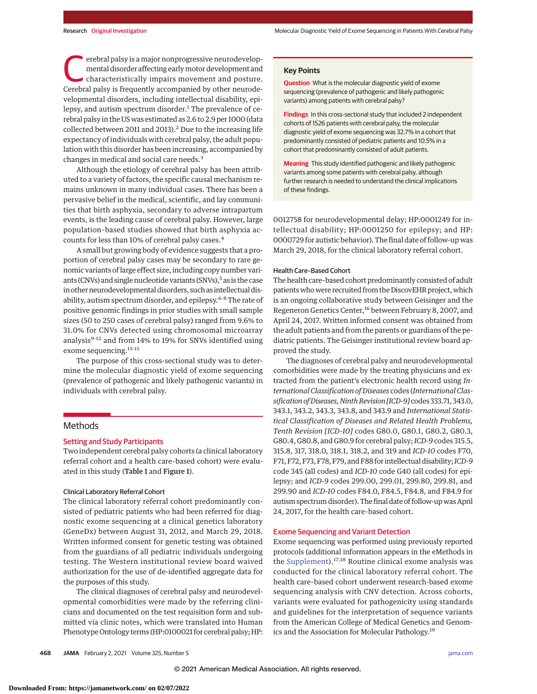erebral palsy is a major nonprogressive neurodevelop-<br>
mental disorder affecting early motor development and<br>
characteristically impairs movement and posture.<br>
Corobral palsy is froquently accompanied by other pourode. mental disorder affecting earlymotor development and Cerebral palsy is frequently accompanied by other neurodevelopmental disorders, including intellectual disability, epilepsy, and autism spectrum disorder.<sup>1</sup> The prevalence of cerebral palsy in the US was estimated as 2.6 to 2.9 per 1000 (data collected between 2011 and 2013).<sup>2</sup> Due to the increasing life expectancy of individuals with cerebral palsy, the adult population with this disorder has been increasing, accompanied by changes in medical and social care needs.<sup>3</sup>

Although the etiology of cerebral palsy has been attributed to a variety of factors, the specific causal mechanism remains unknown in many individual cases. There has been a pervasive belief in the medical, scientific, and lay communities that birth asphyxia, secondary to adverse intrapartum events, is the leading cause of cerebral palsy. However, large population–based studies showed that birth asphyxia accounts for less than 10% of cerebral palsy cases.<sup>4</sup>

A small but growing body of evidence suggests that a proportion of cerebral palsy cases may be secondary to rare genomic variants of large effect size, including copy number variants (CNVs) and single nucleotide variants (SNVs),<sup>5</sup> as is the case in other neurodevelopmental disorders, such as intellectual disability, autism spectrum disorder, and epilepsy.6-8 The rate of positive genomic findings in prior studies with small sample sizes (50 to 250 cases of cerebral palsy) ranged from 9.6% to 31.0% for CNVs detected using chromosomal microarray analysis<sup>9-12</sup> and from 14% to 19% for SNVs identified using exome sequencing.<sup>13-15</sup>

The purpose of this cross-sectional study was to determine the molecular diagnostic yield of exome sequencing (prevalence of pathogenic and likely pathogenic variants) in individuals with cerebral palsy.

# Methods

#### Setting and Study Participants

Two independent cerebral palsy cohorts (a clinical laboratory referral cohort and a health care–based cohort) were evaluated in this study (Table 1 and Figure 1).

#### Clinical Laboratory Referral Cohort

The clinical laboratory referral cohort predominantly consisted of pediatric patients who had been referred for diagnostic exome sequencing at a clinical genetics laboratory (GeneDx) between August 31, 2012, and March 29, 2018. Written informed consent for genetic testing was obtained from the guardians of all pediatric individuals undergoing testing. The Western institutional review board waived authorization for the use of de-identified aggregate data for the purposes of this study.

The clinical diagnoses of cerebral palsy and neurodevelopmental comorbidities were made by the referring clinicians and documented on the test requisition form and submitted via clinic notes, which were translated into Human Phenotype Ontology terms (HP:0100021 for cerebral palsy; HP:

#### **Key Points**

**Question** What is the molecular diagnostic yield of exome sequencing (prevalence of pathogenic and likely pathogenic variants) among patients with cerebral palsy?

**Findings** In this cross-sectional study that included 2 independent cohorts of 1526 patients with cerebral palsy, the molecular diagnostic yield of exome sequencing was 32.7% in a cohort that predominantly consisted of pediatric patients and 10.5% in a cohort that predominantly consisted of adult patients.

**Meaning** This study identified pathogenic and likely pathogenic variants among some patients with cerebral palsy, although further research is needed to understand the clinical implications of these findings.

0012758 for neurodevelopmental delay; HP:0001249 for intellectual disability; HP:0001250 for epilepsy; and HP: 0000729 for autistic behavior). The final date of follow-up was March 29, 2018, for the clinical laboratory referral cohort.

#### Health Care–Based Cohort

The health care–based cohort predominantly consisted of adult patients who were recruited from the DiscovEHR project, which is an ongoing collaborative study between Geisinger and the Regeneron Genetics Center,<sup>16</sup> between February 8, 2007, and April 24, 2017. Written informed consent was obtained from the adult patients and from the parents or guardians of the pediatric patients. The Geisinger institutional review board approved the study.

The diagnoses of cerebral palsy and neurodevelopmental comorbidities were made by the treating physicians and extracted from the patient's electronic health record using *International Classification of Diseases* codes (*International Classification of Diseases, Ninth Revision [ICD-9]* codes 333.71, 343.0, 343.1, 343.2, 343.3, 343.8, and 343.9 and *International Statistical Classification of Diseases and Related Health Problems, Tenth Revision [ICD-10]* codes G80.0, G80.1, G80.2, G80.3, G80.4, G80.8, and G80.9 for cerebral palsy;*ICD-9* codes 315.5, 315.8, 317, 318.0, 318.1, 318.2, and 319 and *ICD-10* codes F70, F71, F72, F73, F78, F79, and F88 for intellectual disability;*ICD-9* code 345 (all codes) and *ICD-10* code G40 (all codes) for epilepsy; and *ICD-9* codes 299.00, 299.01, 299.80, 299.81, and 299.90 and *ICD-10* codes F84.0, F84.5, F84.8, and F84.9 for autism spectrum disorder). The final date of follow-upwas April 24, 2017, for the health care–based cohort.

#### Exome Sequencing and Variant Detection

Exome sequencing was performed using previously reported protocols (additional information appears in the eMethods in the [Supplement\)](https://jamanetwork.com/journals/jama/fullarticle/10.1001/jama.2020.26148?utm_campaign=articlePDF%26utm_medium=articlePDFlink%26utm_source=articlePDF%26utm_content=jama.2020.26148).<sup>17,18</sup> Routine clinical exome analysis was conducted for the clinical laboratory referral cohort. The health care–based cohort underwent research-based exome sequencing analysis with CNV detection. Across cohorts, variants were evaluated for pathogenicity using standards and guidelines for the interpretation of sequence variants from the American College of Medical Genetics and Genomics and the Association for Molecular Pathology.19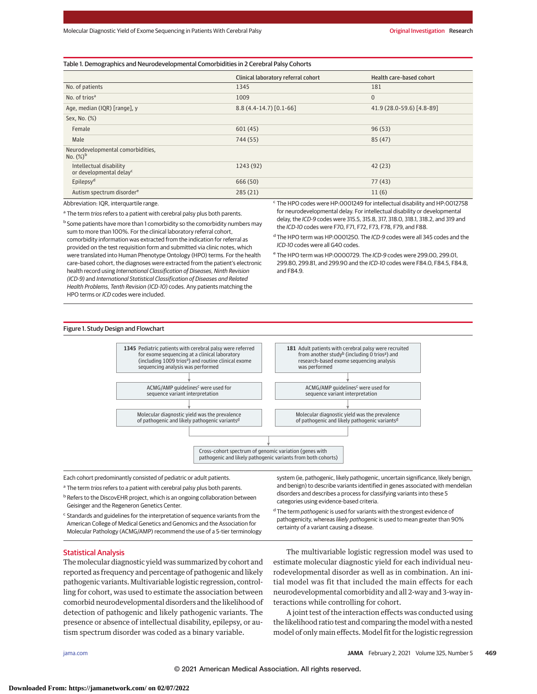#### Table 1. Demographics and Neurodevelopmental Comorbidities in 2 Cerebral Palsy Cohorts

|                                                                | Clinical laboratory referral cohort | Health care-based cohort  |
|----------------------------------------------------------------|-------------------------------------|---------------------------|
| No. of patients                                                | 1345                                | 181                       |
| No. of trios <sup>a</sup>                                      | 1009                                | $\mathbf{0}$              |
| Age, median (IQR) [range], y                                   | $8.8(4.4-14.7)[0.1-66]$             | 41.9 (28.0-59.6) [4.8-89] |
| Sex, No. (%)                                                   |                                     |                           |
| Female                                                         | 601(45)                             | 96(53)                    |
| Male                                                           | 744 (55)                            | 85 (47)                   |
| Neurodevelopmental comorbidities,<br>No. $(\%)^b$              |                                     |                           |
| Intellectual disability<br>or developmental delay <sup>c</sup> | 1243 (92)                           | 42(23)                    |
| Epilepsy <sup>d</sup>                                          | 666 (50)                            | 77(43)                    |
| Autism spectrum disorder <sup>e</sup>                          | 285(21)                             | 11(6)                     |

Abbreviation: IQR, interquartile range.

<sup>a</sup> The term trios refers to a patient with cerebral palsy plus both parents.

<sup>b</sup> Some patients have more than 1 comorbidity so the comorbidity numbers may sum to more than 100%. For the clinical laboratory referral cohort, comorbidity information was extracted from the indication for referral as provided on the test requisition form and submitted via clinic notes, which were translated into Human Phenotype Ontology (HPO) terms. For the health care–based cohort, the diagnoses were extracted from the patient's electronic health record using International Classification of Diseases, Ninth Revision (ICD-9) and International Statistical Classification of Diseases and Related Health Problems, Tenth Revision (ICD-10) codes. Any patients matching the HPO terms or ICD codes were included.

<sup>c</sup> The HPO codes were HP:0001249 for intellectual disability and HP:0012758 for neurodevelopmental delay. For intellectual disability or developmental delay, the ICD-9 codes were 315.5, 315.8, 317, 318.0, 318.1, 318.2, and 319 and the ICD-10 codes were F70, F71, F72, F73, F78, F79, and F88.

<sup>d</sup> The HPO term was HP:0001250. The ICD-9 codes were all 345 codes and the ICD-10 codes were all G40 codes.

<sup>e</sup> The HPO term was HP:0000729. The *ICD-9* codes were 299.00, 299.01, 299.80, 299.81, and 299.90 and the ICD-10 codes were F84.0, F84.5, F84.8, and F84.9.

#### Figure 1. Study Design and Flowchart



Each cohort predominantly consisted of pediatric or adult patients.

<sup>a</sup> The term trios refers to a patient with cerebral palsy plus both parents.

**b** Refers to the DiscovEHR project, which is an ongoing collaboration between Geisinger and the Regeneron Genetics Center.

<sup>c</sup> Standards and guidelines for the interpretation of sequence variants from the American College of Medical Genetics and Genomics and the Association for Molecular Pathology (ACMG/AMP) recommend the use of a 5-tier terminology system (ie, pathogenic, likely pathogenic, uncertain significance, likely benign, and benign) to describe variants identified in genes associated with mendelian disorders and describes a process for classifying variants into these 5 categories using evidence-based criteria.

<sup>d</sup> The term pathogenic is used for variants with the strongest evidence of pathogenicity, whereas likely pathogenic is used to mean greater than 90% certainty of a variant causing a disease.

#### Statistical Analysis

The molecular diagnostic yield was summarized by cohort and reported as frequency and percentage of pathogenic and likely pathogenic variants. Multivariable logistic regression, controlling for cohort, was used to estimate the association between comorbid neurodevelopmental disorders and the likelihood of detection of pathogenic and likely pathogenic variants. The presence or absence of intellectual disability, epilepsy, or autism spectrum disorder was coded as a binary variable.

The multivariable logistic regression model was used to estimate molecular diagnostic yield for each individual neurodevelopmental disorder as well as in combination. An initial model was fit that included the main effects for each neurodevelopmental comorbidity and all 2-way and 3-way interactions while controlling for cohort.

A joint test of the interaction effects was conducted using the likelihood ratio test and comparing themodel with a nested model of only main effects. Model fit for the logistic regression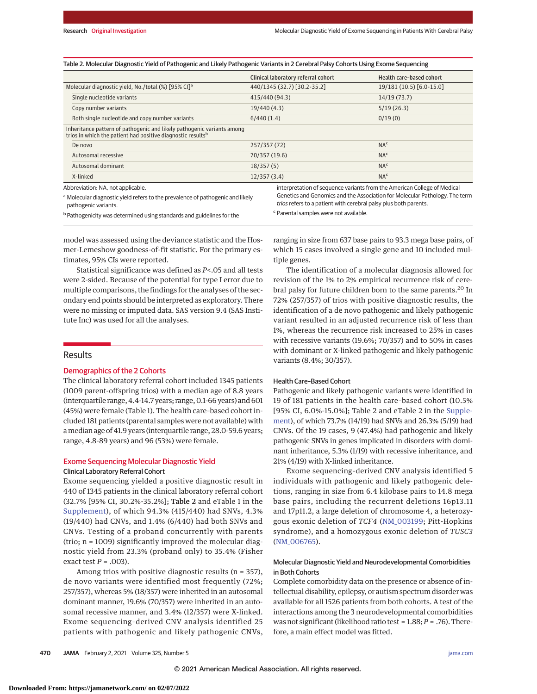|  |  |  | Table 2. Molecular Diagnostic Yield of Pathogenic and Likely Pathogenic Variants in 2 Cerebral Palsy Cohorts Using Exome Sequencing |
|--|--|--|-------------------------------------------------------------------------------------------------------------------------------------|
|--|--|--|-------------------------------------------------------------------------------------------------------------------------------------|

|                                                                                                                                                   | Clinical laboratory referral cohort                                      | Health care-based cohort |
|---------------------------------------------------------------------------------------------------------------------------------------------------|--------------------------------------------------------------------------|--------------------------|
| Molecular diagnostic yield, No./total (%) [95% CI] <sup>a</sup>                                                                                   | 440/1345 (32.7) [30.2-35.2]                                              | 19/181 (10.5) [6.0-15.0] |
| Single nucleotide variants                                                                                                                        | 415/440 (94.3)                                                           | 14/19(73.7)              |
| Copy number variants                                                                                                                              | 19/440(4.3)                                                              | 5/19(26.3)               |
| Both single nucleotide and copy number variants                                                                                                   | 6/440(1.4)                                                               | 0/19(0)                  |
| Inheritance pattern of pathogenic and likely pathogenic variants among<br>trios in which the patient had positive diagnostic results <sup>b</sup> |                                                                          |                          |
| De novo                                                                                                                                           | 257/357 (72)                                                             | NA <sup>c</sup>          |
| Autosomal recessive                                                                                                                               | 70/357 (19.6)                                                            | NA <sup>c</sup>          |
| Autosomal dominant                                                                                                                                | 18/357(5)                                                                | NA <sup>c</sup>          |
| X-linked                                                                                                                                          | 12/357(3.4)                                                              | NA <sup>c</sup>          |
| Abbreviation: NA, not applicable.                                                                                                                 | interpretation of sequence variants from the American College of Medical |                          |

a Molecular diagnostic yield refers to the prevalence of pathogenic and likely

pathogenic variants.

**b** Pathogenicity was determined using standards and guidelines for the

Genetics and Genomics and the Association for Molecular Pathology. The term trios refers to a patient with cerebral palsy plus both parents. <sup>c</sup> Parental samples were not available.

model was assessed using the deviance statistic and the Hosmer-Lemeshow goodness-of-fit statistic. For the primary estimates, 95% CIs were reported.

Statistical significance was defined as *P*<.05 and all tests were 2-sided. Because of the potential for type I error due to multiple comparisons, the findings for the analyses of the secondary end points should be interpreted as exploratory. There were no missing or imputed data. SAS version 9.4 (SAS Institute Inc) was used for all the analyses.

## Results

#### Demographics of the 2 Cohorts

The clinical laboratory referral cohort included 1345 patients (1009 parent-offspring trios) with a median age of 8.8 years (interquartile range, 4.4-14.7 years; range, 0.1-66 years) and 601 (45%) were female (Table 1). The health care–based cohort included 181 patients (parental samples were not available) with amedian age of 41.9 years (interquartile range, 28.0-59.6 years; range, 4.8-89 years) and 96 (53%) were female.

## Exome Sequencing Molecular Diagnostic Yield Clinical Laboratory Referral Cohort

Exome sequencing yielded a positive diagnostic result in 440 of 1345 patients in the clinical laboratory referral cohort (32.7% [95% CI, 30.2%-35.2%]; Table 2 and eTable 1 in the [Supplement\)](https://jamanetwork.com/journals/jama/fullarticle/10.1001/jama.2020.26148?utm_campaign=articlePDF%26utm_medium=articlePDFlink%26utm_source=articlePDF%26utm_content=jama.2020.26148), of which 94.3% (415/440) had SNVs, 4.3% (19/440) had CNVs, and 1.4% (6/440) had both SNVs and CNVs. Testing of a proband concurrently with parents (trio; n = 1009) significantly improved the molecular diagnostic yield from 23.3% (proband only) to 35.4% (Fisher exact test *P* = .003).

Among trios with positive diagnostic results (n = 357), de novo variants were identified most frequently (72%; 257/357), whereas 5% (18/357) were inherited in an autosomal dominant manner, 19.6% (70/357) were inherited in an autosomal recessive manner, and 3.4% (12/357) were X-linked. Exome sequencing–derived CNV analysis identified 25 patients with pathogenic and likely pathogenic CNVs, ranging in size from 637 base pairs to 93.3 mega base pairs, of which 15 cases involved a single gene and 10 included multiple genes.

The identification of a molecular diagnosis allowed for revision of the 1% to 2% empirical recurrence risk of cerebral palsy for future children born to the same parents.<sup>20</sup> In 72% (257/357) of trios with positive diagnostic results, the identification of a de novo pathogenic and likely pathogenic variant resulted in an adjusted recurrence risk of less than 1%, whereas the recurrence risk increased to 25% in cases with recessive variants (19.6%; 70/357) and to 50% in cases with dominant or X-linked pathogenic and likely pathogenic variants (8.4%; 30/357).

#### Health Care–Based Cohort

Pathogenic and likely pathogenic variants were identified in 19 of 181 patients in the health care–based cohort (10.5% [95% CI, 6.0%-15.0%]; Table 2 and eTable 2 in the [Supple](https://jamanetwork.com/journals/jama/fullarticle/10.1001/jama.2020.26148?utm_campaign=articlePDF%26utm_medium=articlePDFlink%26utm_source=articlePDF%26utm_content=jama.2020.26148)[ment\)](https://jamanetwork.com/journals/jama/fullarticle/10.1001/jama.2020.26148?utm_campaign=articlePDF%26utm_medium=articlePDFlink%26utm_source=articlePDF%26utm_content=jama.2020.26148), of which 73.7% (14/19) had SNVs and 26.3% (5/19) had CNVs. Of the 19 cases, 9 (47.4%) had pathogenic and likely pathogenic SNVs in genes implicated in disorders with dominant inheritance, 5.3% (1/19) with recessive inheritance, and 21% (4/19) with X-linked inheritance.

Exome sequencing–derived CNV analysis identified 5 individuals with pathogenic and likely pathogenic deletions, ranging in size from 6.4 kilobase pairs to 14.8 mega base pairs, including the recurrent deletions 16p13.11 and 17p11.2, a large deletion of chromosome 4, a heterozygous exonic deletion of *TCF4* [\(NM\\_003199;](https://www.ncbi.nlm.nih.gov/nuccore/NM_003199) Pitt-Hopkins syndrome), and a homozygous exonic deletion of *TUSC3* [\(NM\\_006765\)](https://www.ncbi.nlm.nih.gov/nuccore/NM_006765).

# Molecular Diagnostic Yield and Neurodevelopmental Comorbidities in Both Cohorts

Complete comorbidity data on the presence or absence of intellectual disability, epilepsy, or autism spectrum disorder was available for all 1526 patients from both cohorts. A test of the interactions among the 3 neurodevelopmental comorbidities was not significant (likelihood ratio test = 1.88;*P* = .76). Therefore, a main effect model was fitted.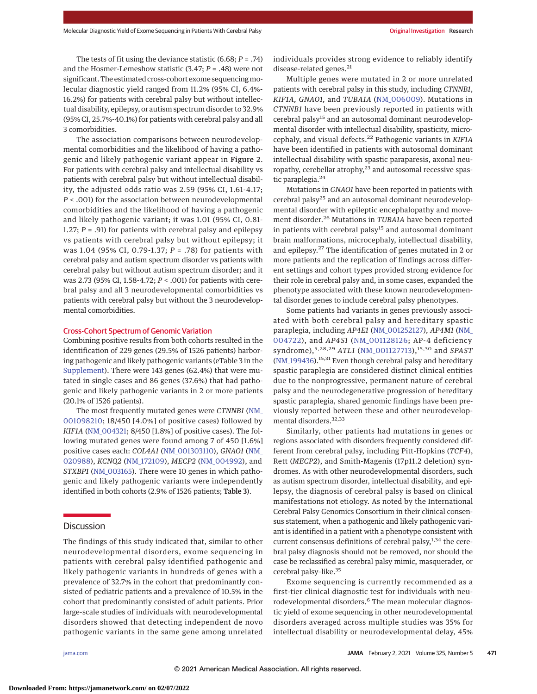The tests of fit using the deviance statistic (6.68; *P* = .74) and the Hosmer-Lemeshow statistic (3.47; *P* = .48) were not significant. The estimated cross-cohort exome sequencingmolecular diagnostic yield ranged from 11.2% (95% CI, 6.4%- 16.2%) for patients with cerebral palsy but without intellectual disability, epilepsy, or autism spectrum disorder to 32.9% (95% CI, 25.7%-40.1%) for patients with cerebral palsy and all 3 comorbidities.

The association comparisons between neurodevelopmental comorbidities and the likelihood of having a pathogenic and likely pathogenic variant appear in Figure 2. For patients with cerebral palsy and intellectual disability vs patients with cerebral palsy but without intellectual disability, the adjusted odds ratio was 2.59 (95% CI, 1.61-4.17; *P* < .001) for the association between neurodevelopmental comorbidities and the likelihood of having a pathogenic and likely pathogenic variant; it was 1.01 (95% CI, 0.81- 1.27; *P* = .91) for patients with cerebral palsy and epilepsy vs patients with cerebral palsy but without epilepsy; it was 1.04 (95% CI, 0.79-1.37; *P* = .78) for patients with cerebral palsy and autism spectrum disorder vs patients with cerebral palsy but without autism spectrum disorder; and it was 2.73 (95% CI, 1.58-4.72; *P* < .001) for patients with cerebral palsy and all 3 neurodevelopmental comorbidities vs patients with cerebral palsy but without the 3 neurodevelopmental comorbidities.

## Cross-Cohort Spectrum of Genomic Variation

Combining positive results from both cohorts resulted in the identification of 229 genes (29.5% of 1526 patients) harboring pathogenic and likely pathogenic variants (eTable 3 in the [Supplement\)](https://jamanetwork.com/journals/jama/fullarticle/10.1001/jama.2020.26148?utm_campaign=articlePDF%26utm_medium=articlePDFlink%26utm_source=articlePDF%26utm_content=jama.2020.26148). There were 143 genes (62.4%) that were mutated in single cases and 86 genes (37.6%) that had pathogenic and likely pathogenic variants in 2 or more patients (20.1% of 1526 patients).

The most frequently mutated genes were *CTNNB1* [\(NM\\_](https://www.ncbi.nlm.nih.gov/nuccore/NM_001098210) [001098210;](https://www.ncbi.nlm.nih.gov/nuccore/NM_001098210) 18/450 [4.0%] of positive cases) followed by *KIF1A* [\(NM\\_004321;](https://www.ncbi.nlm.nih.gov/nuccore/NM_004321) 8/450 [1.8%] of positive cases). The following mutated genes were found among 7 of 450 [1.6%] positive cases each: *COL4A1* [\(NM\\_001303110\)](https://www.ncbi.nlm.nih.gov/nuccore/NM_001303110), *GNAO1* [\(NM\\_](https://www.ncbi.nlm.nih.gov/nuccore/NM_020988) [020988\)](https://www.ncbi.nlm.nih.gov/nuccore/NM_020988), *KCNQ2* [\(NM\\_172109\)](https://www.ncbi.nlm.nih.gov/nuccore/NM_172109), *MECP2* [\(NM\\_004992\)](https://www.ncbi.nlm.nih.gov/nuccore/NM_004992), and *STXBP1* [\(NM\\_003165\)](https://www.ncbi.nlm.nih.gov/nuccore/NM_003165). There were 10 genes in which pathogenic and likely pathogenic variants were independently identified in both cohorts (2.9% of 1526 patients; Table 3).

# **Discussion**

The findings of this study indicated that, similar to other neurodevelopmental disorders, exome sequencing in patients with cerebral palsy identified pathogenic and likely pathogenic variants in hundreds of genes with a prevalence of 32.7% in the cohort that predominantly consisted of pediatric patients and a prevalence of 10.5% in the cohort that predominantly consisted of adult patients. Prior large-scale studies of individuals with neurodevelopmental disorders showed that detecting independent de novo pathogenic variants in the same gene among unrelated

individuals provides strong evidence to reliably identify disease-related genes. $^{21}$ 

Multiple genes were mutated in 2 or more unrelated patients with cerebral palsy in this study, including *CTNNB1*, *KIF1A, GNAO1,* and *TUBA1A* [\(NM\\_006009\)](https://www.ncbi.nlm.nih.gov/nuccore/NM_006009). Mutations in *CTNNB1* have been previously reported in patients with cerebral palsy<sup>15</sup> and an autosomal dominant neurodevelopmental disorder with intellectual disability, spasticity, microcephaly, and visual defects.<sup>22</sup> Pathogenic variants in *KIF1A* have been identified in patients with autosomal dominant intellectual disability with spastic paraparesis, axonal neuropathy, cerebellar atrophy,<sup>23</sup> and autosomal recessive spastic paraplegia.<sup>24</sup>

Mutations in *GNAO1* have been reported in patients with cerebral palsy<sup>25</sup> and an autosomal dominant neurodevelopmental disorder with epileptic encephalopathy and movement disorder.<sup>26</sup> Mutations in *TUBA1A* have been reported in patients with cerebral palsy<sup>15</sup> and autosomal dominant brain malformations, microcephaly, intellectual disability, and epilepsy.<sup>27</sup> The identification of genes mutated in 2 or more patients and the replication of findings across different settings and cohort types provided strong evidence for their role in cerebral palsy and, in some cases, expanded the phenotype associated with these known neurodevelopmental disorder genes to include cerebral palsy phenotypes.

Some patients had variants in genes previously associated with both cerebral palsy and hereditary spastic paraplegia, including *AP4E1* [\(NM\\_001252127\)](https://www.ncbi.nlm.nih.gov/nuccore/NM_001252127), *AP4M1* [\(NM\\_](https://www.ncbi.nlm.nih.gov/nuccore/NM_004722) [004722\)](https://www.ncbi.nlm.nih.gov/nuccore/NM_004722), and *AP4S1* [\(NM\\_001128126;](https://www.ncbi.nlm.nih.gov/nuccore/NM_001128126) AP-4 deficiency syndrome),<sup>5,28,29</sup> ATL1 [\(NM\\_001127713\)](https://www.ncbi.nlm.nih.gov/nuccore/NM_001127713),<sup>15,30</sup> and *SPAST* (NM<sub>\_</sub>199436).<sup>15,31</sup> Even though cerebral palsy and hereditary spastic paraplegia are considered distinct clinical entities due to the nonprogressive, permanent nature of cerebral palsy and the neurodegenerative progression of hereditary spastic paraplegia, shared genomic findings have been previously reported between these and other neurodevelopmental disorders.<sup>32,33</sup>

Similarly, other patients had mutations in genes or regions associated with disorders frequently considered different from cerebral palsy, including Pitt-Hopkins (*TCF4*), Rett (*MECP2*), and Smith-Magenis (17p11.2 deletion) syndromes. As with other neurodevelopmental disorders, such as autism spectrum disorder, intellectual disability, and epilepsy, the diagnosis of cerebral palsy is based on clinical manifestations not etiology. As noted by the International Cerebral Palsy Genomics Consortium in their clinical consensus statement, when a pathogenic and likely pathogenic variant is identified in a patient with a phenotype consistent with current consensus definitions of cerebral palsy, $1,34$  the cerebral palsy diagnosis should not be removed, nor should the case be reclassified as cerebral palsy mimic, masquerader, or cerebral palsy–like.35

Exome sequencing is currently recommended as a first-tier clinical diagnostic test for individuals with neurodevelopmental disorders.<sup>6</sup> The mean molecular diagnostic yield of exome sequencing in other neurodevelopmental disorders averaged across multiple studies was 35% for intellectual disability or neurodevelopmental delay, 45%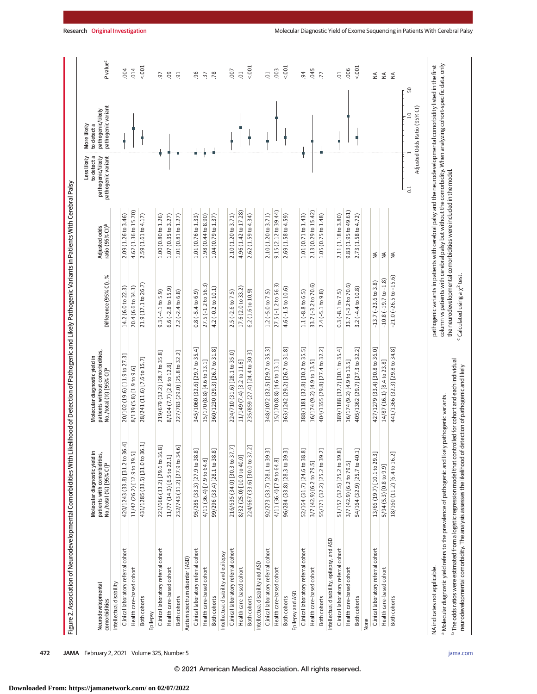| P value <sup>c</sup><br>column vs patients with cerebral palsy but without the comorbidity. When analyzing cohort-specific data, only<br>pathogenic variants in patients with cerebral palsy and the neurodevelopmental comorbidity listed in the first<br>$1001 -$<br>$1001 -$<br>5001<br>5.001<br>014<br>.006<br>004<br>.003<br>.045<br>007<br>$\overline{0}$<br>$\overline{c}$<br>94<br>$\overline{c}$<br>09<br>$-96$<br>.78<br>77<br>50<br>$\overline{5}$<br>$\ddot{3}$<br>≸<br>$\lessgtr$<br>$\leq$<br>50<br>pathogenic variant<br>Adjusted Odds Ratio (95% CI)<br>pathogenic/likely<br>$\overline{a}$<br>to detect a<br>to detect a<br>pathogenic variant<br>pathogenic/likely<br>the neurodevelopmental comorbidities were included in the model.<br>5<br>9.15(2.12 to 39.44)<br>2.13 (0.29 to 15.42)<br>9.83 (1.95 to 49.61)<br>4.62 (1.36 to 15.70)<br>4.96 (1.42 to 17.28)<br>2.10(1.20to 3.71)<br>2.10 (1.20 to 3.71)<br>1.01 (0.71 to 1.43)<br>2.11 (1.18 to 3.80)<br>1.00(0.80 to 1.26)<br>1.01 (0.76 to 1.33)<br>1.98 (0.44 to 8.90)<br>2.62 (1.59 to 4.34)<br>2.69 (1.58 to 4.59)<br>2.73 (1.58 to 4.72)<br>2.09 (1.26 to 3.46)<br>2.59 (1.61 to 4.17)<br>1.07 (0.35 to 3.27)<br>1.01 (0.81 to 1.27)<br>1.04(0.79 to 1.37)<br>1.05 (0.75 to 1.48)<br>Adjusted odds<br>ratio (95% CI) <sup>b</sup><br>₹<br>$\lessapprox$<br>$\leq$<br>Difference (95% CI), %<br>$-21.0(-26.5 to -15.6)$<br>$-10.8(-19.7 to -1.8)$<br>$-13.7$ $(-23.6$ to $3.8)$<br>21.9 (17.1 to 26.7)<br>27.5 (-1.2 to 56.3)<br>27.5 (-1.2 to 56.3)<br>$33.7(-3.2 to 70.6)$<br>33.7 (-3.2 to 70.6)<br>20.4 (6.6 to 34.3)<br>14.2(6.0 to 22.3)<br>4.2 (-0.2 to 10.1)<br>17.6 (2.0 to 33.2)<br>$3.2(-4.4 to 10.8)$<br>$6.6$ (-2.8 to 15.9)<br>$4.6(-1.5 to 10.6)$<br>6.2 (1.6 to 10.9)<br>$1.2$ (-5.0 to 7.5)<br>$2.2(-2.4 to 6.8)$<br>$0.8(-5.4 to 6.9)$<br>$1.1(-8.8 to 6.5)$<br>$9.3(-4.1 to 5.9)$<br>$2.5$ (-2.6 to 7.5)<br>$2.4 (-5.1 to 9.8)$<br>$0.3 (-8.1 to 7.5)$<br>345/1060 (32.6) [29.7 to 35.4]<br>348/1072 (32.5) [29.7 to 35.3]<br>388/1181 (32.8) [30.2 to 35.5]<br>405/1362 (29.7) [27.3 to 32.2]<br>427/1279 (33.4) [30.8 to 36.0]<br>360/1230 (29.3) [26.7 to 31.8]<br>363/1242 (29.2) [26.7 to 31.8]<br>404/1355 (29.8) [27.4 to 32.2]<br>389/1188 (32.7) [30.1 to 35.4]<br>441/1366 (32.3) [29.8 to 34.8]<br>227/783 (29.0) [25.8 to 32.2]<br>patients without comorbidities,<br>224/710 (31.6) [28.1 to 35.0]<br>235/859 (27.4) [24.4 to 30.3]<br>219/679 (32.2) [28.7 to 35.8]<br>20/102 (19.6) [11.9 to 27.3]<br>Molecular diagnostic yield in<br>28/241 (11.6) [7.6 to 15.7]<br>led for cohort and each individual<br>11/149 (7.4) [3.2 to 11.6]<br>15/170 (8.8) [4.6 to 13.1]<br>15/170 (8.8) [4.6 to 13.1]<br>14/87 (16.1) [8.4 to 23.8]<br>16/174 (9.2) [4.9 to 13.5]<br>16/174 (9.2) [4.9 to 13.5]<br>8/104 (7.7) [2.6 to 12.8]<br>8/139 (5.8) [1.9 to 9.6]<br>No./total (%) [95% CI] <sup>a</sup><br>neurodevelopmental comorbidity. The analysis assesses the likelihood of det<br>420/1243 (33.8) [31.2 to 36.4]<br>431/1285 (33.5) [31.0 to 36.1]<br>221/666 (33.2) [29.6 to 36.8]<br>232/743 (31.2) [27.9 to 34.6]<br>216/635 (34.0) [30.3 to 37.7]<br>224/667 (33.6) [30.0 to 37.2]<br>54/164 (32.9) [25.7 to 40.1]<br>99/296 (33.4) [28.1 to 38.8]<br>92/273 (33.7) [28.1 to 39.3]<br>96/284 (33.8) [28.3 to 39.3]<br>52/164 (31.7) [24.6 to 38.8]<br>55/171 (32.2) [25.2 to 39.2]<br>51/157 (32.5) [25.2 to 39.8]<br>95/285 (33.3) [27.9 to 38.8]<br>Molecular diagnostic yield in<br>11/42 (26.2) [12.9 to 39.5]<br>13/66 (19.7) [10.1 to 29.3]<br>18/160 (11.2) [6.4 to 16.2]<br>patients with comorbidities,<br>8/32 (25.0) [10.0 to 40.0]<br>11/77 (14.3) [6.5 to 22.1]<br>4/11 (36.4) [7.9 to 64.8]<br>4/11 (36.4) [7.9 to 64.8]<br>3/7 (42.9) [6.2 to 79.5]<br>3/7 (42.9) [6.2 to 79.5]<br>No./total (%) [95% CI] <sup>a</sup><br>5/94 (5.3) [0.8 to 9.9]<br>Intellectual disability, epilepsy, and ASD<br>Clinical laboratory referral cohort<br>Clinical laboratory referral cohort<br>Clinical laboratory referral cohort<br>Clinical laboratory referral cohort<br>Clinical laboratory referral cohort<br>Clinical laboratory referral cohort<br>Clinical laboratory referral cohort<br>Clinical laboratory referral cohort<br>Intellectual disability and epilepsy<br>Autism spectrum disorder (ASD)<br>Intellectual disability and ASD<br>Health care-based cohort<br>Health care-based cohort<br>Health care-based cohort<br>Health care-based cohort<br>Health care-based cohort<br>Health care-based cohort<br>Health care-based cohort<br>Health care-based cohort<br>Intellectual disability<br>Neurodevelopmental<br>Epilepsy and ASD<br>Both cohorts<br>Both cohorts<br>Both cohorts<br><b>Both cohorts</b><br><b>Both cohorts</b><br>Both cohorts<br>Both cohorts<br>Both cohorts<br>comorbidities<br>Epilepsy<br>None |  |                                 |                                                |             |             |  |
|--------------------------------------------------------------------------------------------------------------------------------------------------------------------------------------------------------------------------------------------------------------------------------------------------------------------------------------------------------------------------------------------------------------------------------------------------------------------------------------------------------------------------------------------------------------------------------------------------------------------------------------------------------------------------------------------------------------------------------------------------------------------------------------------------------------------------------------------------------------------------------------------------------------------------------------------------------------------------------------------------------------------------------------------------------------------------------------------------------------------------------------------------------------------------------------------------------------------------------------------------------------------------------------------------------------------------------------------------------------------------------------------------------------------------------------------------------------------------------------------------------------------------------------------------------------------------------------------------------------------------------------------------------------------------------------------------------------------------------------------------------------------------------------------------------------------------------------------------------------------------------------------------------------------------------------------------------------------------------------------------------------------------------------------------------------------------------------------------------------------------------------------------------------------------------------------------------------------------------------------------------------------------------------------------------------------------------------------------------------------------------------------------------------------------------------------------------------------------------------------------------------------------------------------------------------------------------------------------------------------------------------------------------------------------------------------------------------------------------------------------------------------------------------------------------------------------------------------------------------------------------------------------------------------------------------------------------------------------------------------------------------------------------------------------------------------------------------------------------------------------------------------------------------------------------------------------------------------------------------------------------------------------------------------------------------------------------------------------------------------------------------------------------------------------------------------------------------------------------------------------------------------------------------------------------------------------------------------------------------------------------------------------------------------------------------------------------------------------------------------------------------------------------------------------------------------------------------------------------------------------------------------------------------------------------------------------------------------------------------------------------------------------------------------------------------------------------------------------------------------------------------------------------------------------------------------------------------------------------------------------------------------------------------------------------------------------------------------------------------------------------------------------------------------------------------------------------------------------------------------------------------------------------------------------------------------------------------------------------------------------------------------------------------------------------------------------------------------------------------------------------------------------------------------------------------------------------------------------------------|--|---------------------------------|------------------------------------------------|-------------|-------------|--|
|                                                                                                                                                                                                                                                                                                                                                                                                                                                                                                                                                                                                                                                                                                                                                                                                                                                                                                                                                                                                                                                                                                                                                                                                                                                                                                                                                                                                                                                                                                                                                                                                                                                                                                                                                                                                                                                                                                                                                                                                                                                                                                                                                                                                                                                                                                                                                                                                                                                                                                                                                                                                                                                                                                                                                                                                                                                                                                                                                                                                                                                                                                                                                                                                                                                                                                                                                                                                                                                                                                                                                                                                                                                                                                                                                                                                                                                                                                                                                                                                                                                                                                                                                                                                                                                                                                                                                                                                                                                                                                                                                                                                                                                                                                                                                                                                                                                              |  |                                 |                                                | Less likely | More likely |  |
|                                                                                                                                                                                                                                                                                                                                                                                                                                                                                                                                                                                                                                                                                                                                                                                                                                                                                                                                                                                                                                                                                                                                                                                                                                                                                                                                                                                                                                                                                                                                                                                                                                                                                                                                                                                                                                                                                                                                                                                                                                                                                                                                                                                                                                                                                                                                                                                                                                                                                                                                                                                                                                                                                                                                                                                                                                                                                                                                                                                                                                                                                                                                                                                                                                                                                                                                                                                                                                                                                                                                                                                                                                                                                                                                                                                                                                                                                                                                                                                                                                                                                                                                                                                                                                                                                                                                                                                                                                                                                                                                                                                                                                                                                                                                                                                                                                                              |  |                                 |                                                |             |             |  |
|                                                                                                                                                                                                                                                                                                                                                                                                                                                                                                                                                                                                                                                                                                                                                                                                                                                                                                                                                                                                                                                                                                                                                                                                                                                                                                                                                                                                                                                                                                                                                                                                                                                                                                                                                                                                                                                                                                                                                                                                                                                                                                                                                                                                                                                                                                                                                                                                                                                                                                                                                                                                                                                                                                                                                                                                                                                                                                                                                                                                                                                                                                                                                                                                                                                                                                                                                                                                                                                                                                                                                                                                                                                                                                                                                                                                                                                                                                                                                                                                                                                                                                                                                                                                                                                                                                                                                                                                                                                                                                                                                                                                                                                                                                                                                                                                                                                              |  |                                 |                                                |             |             |  |
| <sup>a</sup> Molecular diagnostic yield refers to the prevalence of pathogenic and likely pathogenic variants.<br><sup>b</sup> The odds ratios were estimated from a logistic regression model that controll<br>NA indicates not applicable.                                                                                                                                                                                                                                                                                                                                                                                                                                                                                                                                                                                                                                                                                                                                                                                                                                                                                                                                                                                                                                                                                                                                                                                                                                                                                                                                                                                                                                                                                                                                                                                                                                                                                                                                                                                                                                                                                                                                                                                                                                                                                                                                                                                                                                                                                                                                                                                                                                                                                                                                                                                                                                                                                                                                                                                                                                                                                                                                                                                                                                                                                                                                                                                                                                                                                                                                                                                                                                                                                                                                                                                                                                                                                                                                                                                                                                                                                                                                                                                                                                                                                                                                                                                                                                                                                                                                                                                                                                                                                                                                                                                                                 |  |                                 |                                                |             |             |  |
|                                                                                                                                                                                                                                                                                                                                                                                                                                                                                                                                                                                                                                                                                                                                                                                                                                                                                                                                                                                                                                                                                                                                                                                                                                                                                                                                                                                                                                                                                                                                                                                                                                                                                                                                                                                                                                                                                                                                                                                                                                                                                                                                                                                                                                                                                                                                                                                                                                                                                                                                                                                                                                                                                                                                                                                                                                                                                                                                                                                                                                                                                                                                                                                                                                                                                                                                                                                                                                                                                                                                                                                                                                                                                                                                                                                                                                                                                                                                                                                                                                                                                                                                                                                                                                                                                                                                                                                                                                                                                                                                                                                                                                                                                                                                                                                                                                                              |  |                                 |                                                |             |             |  |
|                                                                                                                                                                                                                                                                                                                                                                                                                                                                                                                                                                                                                                                                                                                                                                                                                                                                                                                                                                                                                                                                                                                                                                                                                                                                                                                                                                                                                                                                                                                                                                                                                                                                                                                                                                                                                                                                                                                                                                                                                                                                                                                                                                                                                                                                                                                                                                                                                                                                                                                                                                                                                                                                                                                                                                                                                                                                                                                                                                                                                                                                                                                                                                                                                                                                                                                                                                                                                                                                                                                                                                                                                                                                                                                                                                                                                                                                                                                                                                                                                                                                                                                                                                                                                                                                                                                                                                                                                                                                                                                                                                                                                                                                                                                                                                                                                                                              |  |                                 |                                                |             |             |  |
|                                                                                                                                                                                                                                                                                                                                                                                                                                                                                                                                                                                                                                                                                                                                                                                                                                                                                                                                                                                                                                                                                                                                                                                                                                                                                                                                                                                                                                                                                                                                                                                                                                                                                                                                                                                                                                                                                                                                                                                                                                                                                                                                                                                                                                                                                                                                                                                                                                                                                                                                                                                                                                                                                                                                                                                                                                                                                                                                                                                                                                                                                                                                                                                                                                                                                                                                                                                                                                                                                                                                                                                                                                                                                                                                                                                                                                                                                                                                                                                                                                                                                                                                                                                                                                                                                                                                                                                                                                                                                                                                                                                                                                                                                                                                                                                                                                                              |  |                                 |                                                |             |             |  |
|                                                                                                                                                                                                                                                                                                                                                                                                                                                                                                                                                                                                                                                                                                                                                                                                                                                                                                                                                                                                                                                                                                                                                                                                                                                                                                                                                                                                                                                                                                                                                                                                                                                                                                                                                                                                                                                                                                                                                                                                                                                                                                                                                                                                                                                                                                                                                                                                                                                                                                                                                                                                                                                                                                                                                                                                                                                                                                                                                                                                                                                                                                                                                                                                                                                                                                                                                                                                                                                                                                                                                                                                                                                                                                                                                                                                                                                                                                                                                                                                                                                                                                                                                                                                                                                                                                                                                                                                                                                                                                                                                                                                                                                                                                                                                                                                                                                              |  |                                 |                                                |             |             |  |
|                                                                                                                                                                                                                                                                                                                                                                                                                                                                                                                                                                                                                                                                                                                                                                                                                                                                                                                                                                                                                                                                                                                                                                                                                                                                                                                                                                                                                                                                                                                                                                                                                                                                                                                                                                                                                                                                                                                                                                                                                                                                                                                                                                                                                                                                                                                                                                                                                                                                                                                                                                                                                                                                                                                                                                                                                                                                                                                                                                                                                                                                                                                                                                                                                                                                                                                                                                                                                                                                                                                                                                                                                                                                                                                                                                                                                                                                                                                                                                                                                                                                                                                                                                                                                                                                                                                                                                                                                                                                                                                                                                                                                                                                                                                                                                                                                                                              |  |                                 |                                                |             |             |  |
|                                                                                                                                                                                                                                                                                                                                                                                                                                                                                                                                                                                                                                                                                                                                                                                                                                                                                                                                                                                                                                                                                                                                                                                                                                                                                                                                                                                                                                                                                                                                                                                                                                                                                                                                                                                                                                                                                                                                                                                                                                                                                                                                                                                                                                                                                                                                                                                                                                                                                                                                                                                                                                                                                                                                                                                                                                                                                                                                                                                                                                                                                                                                                                                                                                                                                                                                                                                                                                                                                                                                                                                                                                                                                                                                                                                                                                                                                                                                                                                                                                                                                                                                                                                                                                                                                                                                                                                                                                                                                                                                                                                                                                                                                                                                                                                                                                                              |  |                                 |                                                |             |             |  |
|                                                                                                                                                                                                                                                                                                                                                                                                                                                                                                                                                                                                                                                                                                                                                                                                                                                                                                                                                                                                                                                                                                                                                                                                                                                                                                                                                                                                                                                                                                                                                                                                                                                                                                                                                                                                                                                                                                                                                                                                                                                                                                                                                                                                                                                                                                                                                                                                                                                                                                                                                                                                                                                                                                                                                                                                                                                                                                                                                                                                                                                                                                                                                                                                                                                                                                                                                                                                                                                                                                                                                                                                                                                                                                                                                                                                                                                                                                                                                                                                                                                                                                                                                                                                                                                                                                                                                                                                                                                                                                                                                                                                                                                                                                                                                                                                                                                              |  |                                 |                                                |             |             |  |
|                                                                                                                                                                                                                                                                                                                                                                                                                                                                                                                                                                                                                                                                                                                                                                                                                                                                                                                                                                                                                                                                                                                                                                                                                                                                                                                                                                                                                                                                                                                                                                                                                                                                                                                                                                                                                                                                                                                                                                                                                                                                                                                                                                                                                                                                                                                                                                                                                                                                                                                                                                                                                                                                                                                                                                                                                                                                                                                                                                                                                                                                                                                                                                                                                                                                                                                                                                                                                                                                                                                                                                                                                                                                                                                                                                                                                                                                                                                                                                                                                                                                                                                                                                                                                                                                                                                                                                                                                                                                                                                                                                                                                                                                                                                                                                                                                                                              |  |                                 |                                                |             |             |  |
|                                                                                                                                                                                                                                                                                                                                                                                                                                                                                                                                                                                                                                                                                                                                                                                                                                                                                                                                                                                                                                                                                                                                                                                                                                                                                                                                                                                                                                                                                                                                                                                                                                                                                                                                                                                                                                                                                                                                                                                                                                                                                                                                                                                                                                                                                                                                                                                                                                                                                                                                                                                                                                                                                                                                                                                                                                                                                                                                                                                                                                                                                                                                                                                                                                                                                                                                                                                                                                                                                                                                                                                                                                                                                                                                                                                                                                                                                                                                                                                                                                                                                                                                                                                                                                                                                                                                                                                                                                                                                                                                                                                                                                                                                                                                                                                                                                                              |  |                                 |                                                |             |             |  |
|                                                                                                                                                                                                                                                                                                                                                                                                                                                                                                                                                                                                                                                                                                                                                                                                                                                                                                                                                                                                                                                                                                                                                                                                                                                                                                                                                                                                                                                                                                                                                                                                                                                                                                                                                                                                                                                                                                                                                                                                                                                                                                                                                                                                                                                                                                                                                                                                                                                                                                                                                                                                                                                                                                                                                                                                                                                                                                                                                                                                                                                                                                                                                                                                                                                                                                                                                                                                                                                                                                                                                                                                                                                                                                                                                                                                                                                                                                                                                                                                                                                                                                                                                                                                                                                                                                                                                                                                                                                                                                                                                                                                                                                                                                                                                                                                                                                              |  |                                 |                                                |             |             |  |
|                                                                                                                                                                                                                                                                                                                                                                                                                                                                                                                                                                                                                                                                                                                                                                                                                                                                                                                                                                                                                                                                                                                                                                                                                                                                                                                                                                                                                                                                                                                                                                                                                                                                                                                                                                                                                                                                                                                                                                                                                                                                                                                                                                                                                                                                                                                                                                                                                                                                                                                                                                                                                                                                                                                                                                                                                                                                                                                                                                                                                                                                                                                                                                                                                                                                                                                                                                                                                                                                                                                                                                                                                                                                                                                                                                                                                                                                                                                                                                                                                                                                                                                                                                                                                                                                                                                                                                                                                                                                                                                                                                                                                                                                                                                                                                                                                                                              |  |                                 |                                                |             |             |  |
|                                                                                                                                                                                                                                                                                                                                                                                                                                                                                                                                                                                                                                                                                                                                                                                                                                                                                                                                                                                                                                                                                                                                                                                                                                                                                                                                                                                                                                                                                                                                                                                                                                                                                                                                                                                                                                                                                                                                                                                                                                                                                                                                                                                                                                                                                                                                                                                                                                                                                                                                                                                                                                                                                                                                                                                                                                                                                                                                                                                                                                                                                                                                                                                                                                                                                                                                                                                                                                                                                                                                                                                                                                                                                                                                                                                                                                                                                                                                                                                                                                                                                                                                                                                                                                                                                                                                                                                                                                                                                                                                                                                                                                                                                                                                                                                                                                                              |  |                                 |                                                |             |             |  |
|                                                                                                                                                                                                                                                                                                                                                                                                                                                                                                                                                                                                                                                                                                                                                                                                                                                                                                                                                                                                                                                                                                                                                                                                                                                                                                                                                                                                                                                                                                                                                                                                                                                                                                                                                                                                                                                                                                                                                                                                                                                                                                                                                                                                                                                                                                                                                                                                                                                                                                                                                                                                                                                                                                                                                                                                                                                                                                                                                                                                                                                                                                                                                                                                                                                                                                                                                                                                                                                                                                                                                                                                                                                                                                                                                                                                                                                                                                                                                                                                                                                                                                                                                                                                                                                                                                                                                                                                                                                                                                                                                                                                                                                                                                                                                                                                                                                              |  |                                 |                                                |             |             |  |
|                                                                                                                                                                                                                                                                                                                                                                                                                                                                                                                                                                                                                                                                                                                                                                                                                                                                                                                                                                                                                                                                                                                                                                                                                                                                                                                                                                                                                                                                                                                                                                                                                                                                                                                                                                                                                                                                                                                                                                                                                                                                                                                                                                                                                                                                                                                                                                                                                                                                                                                                                                                                                                                                                                                                                                                                                                                                                                                                                                                                                                                                                                                                                                                                                                                                                                                                                                                                                                                                                                                                                                                                                                                                                                                                                                                                                                                                                                                                                                                                                                                                                                                                                                                                                                                                                                                                                                                                                                                                                                                                                                                                                                                                                                                                                                                                                                                              |  |                                 |                                                |             |             |  |
|                                                                                                                                                                                                                                                                                                                                                                                                                                                                                                                                                                                                                                                                                                                                                                                                                                                                                                                                                                                                                                                                                                                                                                                                                                                                                                                                                                                                                                                                                                                                                                                                                                                                                                                                                                                                                                                                                                                                                                                                                                                                                                                                                                                                                                                                                                                                                                                                                                                                                                                                                                                                                                                                                                                                                                                                                                                                                                                                                                                                                                                                                                                                                                                                                                                                                                                                                                                                                                                                                                                                                                                                                                                                                                                                                                                                                                                                                                                                                                                                                                                                                                                                                                                                                                                                                                                                                                                                                                                                                                                                                                                                                                                                                                                                                                                                                                                              |  |                                 |                                                |             |             |  |
|                                                                                                                                                                                                                                                                                                                                                                                                                                                                                                                                                                                                                                                                                                                                                                                                                                                                                                                                                                                                                                                                                                                                                                                                                                                                                                                                                                                                                                                                                                                                                                                                                                                                                                                                                                                                                                                                                                                                                                                                                                                                                                                                                                                                                                                                                                                                                                                                                                                                                                                                                                                                                                                                                                                                                                                                                                                                                                                                                                                                                                                                                                                                                                                                                                                                                                                                                                                                                                                                                                                                                                                                                                                                                                                                                                                                                                                                                                                                                                                                                                                                                                                                                                                                                                                                                                                                                                                                                                                                                                                                                                                                                                                                                                                                                                                                                                                              |  |                                 |                                                |             |             |  |
|                                                                                                                                                                                                                                                                                                                                                                                                                                                                                                                                                                                                                                                                                                                                                                                                                                                                                                                                                                                                                                                                                                                                                                                                                                                                                                                                                                                                                                                                                                                                                                                                                                                                                                                                                                                                                                                                                                                                                                                                                                                                                                                                                                                                                                                                                                                                                                                                                                                                                                                                                                                                                                                                                                                                                                                                                                                                                                                                                                                                                                                                                                                                                                                                                                                                                                                                                                                                                                                                                                                                                                                                                                                                                                                                                                                                                                                                                                                                                                                                                                                                                                                                                                                                                                                                                                                                                                                                                                                                                                                                                                                                                                                                                                                                                                                                                                                              |  |                                 |                                                |             |             |  |
|                                                                                                                                                                                                                                                                                                                                                                                                                                                                                                                                                                                                                                                                                                                                                                                                                                                                                                                                                                                                                                                                                                                                                                                                                                                                                                                                                                                                                                                                                                                                                                                                                                                                                                                                                                                                                                                                                                                                                                                                                                                                                                                                                                                                                                                                                                                                                                                                                                                                                                                                                                                                                                                                                                                                                                                                                                                                                                                                                                                                                                                                                                                                                                                                                                                                                                                                                                                                                                                                                                                                                                                                                                                                                                                                                                                                                                                                                                                                                                                                                                                                                                                                                                                                                                                                                                                                                                                                                                                                                                                                                                                                                                                                                                                                                                                                                                                              |  |                                 |                                                |             |             |  |
|                                                                                                                                                                                                                                                                                                                                                                                                                                                                                                                                                                                                                                                                                                                                                                                                                                                                                                                                                                                                                                                                                                                                                                                                                                                                                                                                                                                                                                                                                                                                                                                                                                                                                                                                                                                                                                                                                                                                                                                                                                                                                                                                                                                                                                                                                                                                                                                                                                                                                                                                                                                                                                                                                                                                                                                                                                                                                                                                                                                                                                                                                                                                                                                                                                                                                                                                                                                                                                                                                                                                                                                                                                                                                                                                                                                                                                                                                                                                                                                                                                                                                                                                                                                                                                                                                                                                                                                                                                                                                                                                                                                                                                                                                                                                                                                                                                                              |  |                                 |                                                |             |             |  |
|                                                                                                                                                                                                                                                                                                                                                                                                                                                                                                                                                                                                                                                                                                                                                                                                                                                                                                                                                                                                                                                                                                                                                                                                                                                                                                                                                                                                                                                                                                                                                                                                                                                                                                                                                                                                                                                                                                                                                                                                                                                                                                                                                                                                                                                                                                                                                                                                                                                                                                                                                                                                                                                                                                                                                                                                                                                                                                                                                                                                                                                                                                                                                                                                                                                                                                                                                                                                                                                                                                                                                                                                                                                                                                                                                                                                                                                                                                                                                                                                                                                                                                                                                                                                                                                                                                                                                                                                                                                                                                                                                                                                                                                                                                                                                                                                                                                              |  |                                 |                                                |             |             |  |
|                                                                                                                                                                                                                                                                                                                                                                                                                                                                                                                                                                                                                                                                                                                                                                                                                                                                                                                                                                                                                                                                                                                                                                                                                                                                                                                                                                                                                                                                                                                                                                                                                                                                                                                                                                                                                                                                                                                                                                                                                                                                                                                                                                                                                                                                                                                                                                                                                                                                                                                                                                                                                                                                                                                                                                                                                                                                                                                                                                                                                                                                                                                                                                                                                                                                                                                                                                                                                                                                                                                                                                                                                                                                                                                                                                                                                                                                                                                                                                                                                                                                                                                                                                                                                                                                                                                                                                                                                                                                                                                                                                                                                                                                                                                                                                                                                                                              |  |                                 |                                                |             |             |  |
|                                                                                                                                                                                                                                                                                                                                                                                                                                                                                                                                                                                                                                                                                                                                                                                                                                                                                                                                                                                                                                                                                                                                                                                                                                                                                                                                                                                                                                                                                                                                                                                                                                                                                                                                                                                                                                                                                                                                                                                                                                                                                                                                                                                                                                                                                                                                                                                                                                                                                                                                                                                                                                                                                                                                                                                                                                                                                                                                                                                                                                                                                                                                                                                                                                                                                                                                                                                                                                                                                                                                                                                                                                                                                                                                                                                                                                                                                                                                                                                                                                                                                                                                                                                                                                                                                                                                                                                                                                                                                                                                                                                                                                                                                                                                                                                                                                                              |  |                                 |                                                |             |             |  |
|                                                                                                                                                                                                                                                                                                                                                                                                                                                                                                                                                                                                                                                                                                                                                                                                                                                                                                                                                                                                                                                                                                                                                                                                                                                                                                                                                                                                                                                                                                                                                                                                                                                                                                                                                                                                                                                                                                                                                                                                                                                                                                                                                                                                                                                                                                                                                                                                                                                                                                                                                                                                                                                                                                                                                                                                                                                                                                                                                                                                                                                                                                                                                                                                                                                                                                                                                                                                                                                                                                                                                                                                                                                                                                                                                                                                                                                                                                                                                                                                                                                                                                                                                                                                                                                                                                                                                                                                                                                                                                                                                                                                                                                                                                                                                                                                                                                              |  |                                 |                                                |             |             |  |
|                                                                                                                                                                                                                                                                                                                                                                                                                                                                                                                                                                                                                                                                                                                                                                                                                                                                                                                                                                                                                                                                                                                                                                                                                                                                                                                                                                                                                                                                                                                                                                                                                                                                                                                                                                                                                                                                                                                                                                                                                                                                                                                                                                                                                                                                                                                                                                                                                                                                                                                                                                                                                                                                                                                                                                                                                                                                                                                                                                                                                                                                                                                                                                                                                                                                                                                                                                                                                                                                                                                                                                                                                                                                                                                                                                                                                                                                                                                                                                                                                                                                                                                                                                                                                                                                                                                                                                                                                                                                                                                                                                                                                                                                                                                                                                                                                                                              |  |                                 |                                                |             |             |  |
|                                                                                                                                                                                                                                                                                                                                                                                                                                                                                                                                                                                                                                                                                                                                                                                                                                                                                                                                                                                                                                                                                                                                                                                                                                                                                                                                                                                                                                                                                                                                                                                                                                                                                                                                                                                                                                                                                                                                                                                                                                                                                                                                                                                                                                                                                                                                                                                                                                                                                                                                                                                                                                                                                                                                                                                                                                                                                                                                                                                                                                                                                                                                                                                                                                                                                                                                                                                                                                                                                                                                                                                                                                                                                                                                                                                                                                                                                                                                                                                                                                                                                                                                                                                                                                                                                                                                                                                                                                                                                                                                                                                                                                                                                                                                                                                                                                                              |  |                                 |                                                |             |             |  |
|                                                                                                                                                                                                                                                                                                                                                                                                                                                                                                                                                                                                                                                                                                                                                                                                                                                                                                                                                                                                                                                                                                                                                                                                                                                                                                                                                                                                                                                                                                                                                                                                                                                                                                                                                                                                                                                                                                                                                                                                                                                                                                                                                                                                                                                                                                                                                                                                                                                                                                                                                                                                                                                                                                                                                                                                                                                                                                                                                                                                                                                                                                                                                                                                                                                                                                                                                                                                                                                                                                                                                                                                                                                                                                                                                                                                                                                                                                                                                                                                                                                                                                                                                                                                                                                                                                                                                                                                                                                                                                                                                                                                                                                                                                                                                                                                                                                              |  |                                 |                                                |             |             |  |
|                                                                                                                                                                                                                                                                                                                                                                                                                                                                                                                                                                                                                                                                                                                                                                                                                                                                                                                                                                                                                                                                                                                                                                                                                                                                                                                                                                                                                                                                                                                                                                                                                                                                                                                                                                                                                                                                                                                                                                                                                                                                                                                                                                                                                                                                                                                                                                                                                                                                                                                                                                                                                                                                                                                                                                                                                                                                                                                                                                                                                                                                                                                                                                                                                                                                                                                                                                                                                                                                                                                                                                                                                                                                                                                                                                                                                                                                                                                                                                                                                                                                                                                                                                                                                                                                                                                                                                                                                                                                                                                                                                                                                                                                                                                                                                                                                                                              |  |                                 |                                                |             |             |  |
|                                                                                                                                                                                                                                                                                                                                                                                                                                                                                                                                                                                                                                                                                                                                                                                                                                                                                                                                                                                                                                                                                                                                                                                                                                                                                                                                                                                                                                                                                                                                                                                                                                                                                                                                                                                                                                                                                                                                                                                                                                                                                                                                                                                                                                                                                                                                                                                                                                                                                                                                                                                                                                                                                                                                                                                                                                                                                                                                                                                                                                                                                                                                                                                                                                                                                                                                                                                                                                                                                                                                                                                                                                                                                                                                                                                                                                                                                                                                                                                                                                                                                                                                                                                                                                                                                                                                                                                                                                                                                                                                                                                                                                                                                                                                                                                                                                                              |  |                                 |                                                |             |             |  |
|                                                                                                                                                                                                                                                                                                                                                                                                                                                                                                                                                                                                                                                                                                                                                                                                                                                                                                                                                                                                                                                                                                                                                                                                                                                                                                                                                                                                                                                                                                                                                                                                                                                                                                                                                                                                                                                                                                                                                                                                                                                                                                                                                                                                                                                                                                                                                                                                                                                                                                                                                                                                                                                                                                                                                                                                                                                                                                                                                                                                                                                                                                                                                                                                                                                                                                                                                                                                                                                                                                                                                                                                                                                                                                                                                                                                                                                                                                                                                                                                                                                                                                                                                                                                                                                                                                                                                                                                                                                                                                                                                                                                                                                                                                                                                                                                                                                              |  |                                 |                                                |             |             |  |
|                                                                                                                                                                                                                                                                                                                                                                                                                                                                                                                                                                                                                                                                                                                                                                                                                                                                                                                                                                                                                                                                                                                                                                                                                                                                                                                                                                                                                                                                                                                                                                                                                                                                                                                                                                                                                                                                                                                                                                                                                                                                                                                                                                                                                                                                                                                                                                                                                                                                                                                                                                                                                                                                                                                                                                                                                                                                                                                                                                                                                                                                                                                                                                                                                                                                                                                                                                                                                                                                                                                                                                                                                                                                                                                                                                                                                                                                                                                                                                                                                                                                                                                                                                                                                                                                                                                                                                                                                                                                                                                                                                                                                                                                                                                                                                                                                                                              |  |                                 |                                                |             |             |  |
|                                                                                                                                                                                                                                                                                                                                                                                                                                                                                                                                                                                                                                                                                                                                                                                                                                                                                                                                                                                                                                                                                                                                                                                                                                                                                                                                                                                                                                                                                                                                                                                                                                                                                                                                                                                                                                                                                                                                                                                                                                                                                                                                                                                                                                                                                                                                                                                                                                                                                                                                                                                                                                                                                                                                                                                                                                                                                                                                                                                                                                                                                                                                                                                                                                                                                                                                                                                                                                                                                                                                                                                                                                                                                                                                                                                                                                                                                                                                                                                                                                                                                                                                                                                                                                                                                                                                                                                                                                                                                                                                                                                                                                                                                                                                                                                                                                                              |  |                                 |                                                |             |             |  |
|                                                                                                                                                                                                                                                                                                                                                                                                                                                                                                                                                                                                                                                                                                                                                                                                                                                                                                                                                                                                                                                                                                                                                                                                                                                                                                                                                                                                                                                                                                                                                                                                                                                                                                                                                                                                                                                                                                                                                                                                                                                                                                                                                                                                                                                                                                                                                                                                                                                                                                                                                                                                                                                                                                                                                                                                                                                                                                                                                                                                                                                                                                                                                                                                                                                                                                                                                                                                                                                                                                                                                                                                                                                                                                                                                                                                                                                                                                                                                                                                                                                                                                                                                                                                                                                                                                                                                                                                                                                                                                                                                                                                                                                                                                                                                                                                                                                              |  |                                 |                                                |             |             |  |
|                                                                                                                                                                                                                                                                                                                                                                                                                                                                                                                                                                                                                                                                                                                                                                                                                                                                                                                                                                                                                                                                                                                                                                                                                                                                                                                                                                                                                                                                                                                                                                                                                                                                                                                                                                                                                                                                                                                                                                                                                                                                                                                                                                                                                                                                                                                                                                                                                                                                                                                                                                                                                                                                                                                                                                                                                                                                                                                                                                                                                                                                                                                                                                                                                                                                                                                                                                                                                                                                                                                                                                                                                                                                                                                                                                                                                                                                                                                                                                                                                                                                                                                                                                                                                                                                                                                                                                                                                                                                                                                                                                                                                                                                                                                                                                                                                                                              |  |                                 |                                                |             |             |  |
|                                                                                                                                                                                                                                                                                                                                                                                                                                                                                                                                                                                                                                                                                                                                                                                                                                                                                                                                                                                                                                                                                                                                                                                                                                                                                                                                                                                                                                                                                                                                                                                                                                                                                                                                                                                                                                                                                                                                                                                                                                                                                                                                                                                                                                                                                                                                                                                                                                                                                                                                                                                                                                                                                                                                                                                                                                                                                                                                                                                                                                                                                                                                                                                                                                                                                                                                                                                                                                                                                                                                                                                                                                                                                                                                                                                                                                                                                                                                                                                                                                                                                                                                                                                                                                                                                                                                                                                                                                                                                                                                                                                                                                                                                                                                                                                                                                                              |  |                                 |                                                |             |             |  |
|                                                                                                                                                                                                                                                                                                                                                                                                                                                                                                                                                                                                                                                                                                                                                                                                                                                                                                                                                                                                                                                                                                                                                                                                                                                                                                                                                                                                                                                                                                                                                                                                                                                                                                                                                                                                                                                                                                                                                                                                                                                                                                                                                                                                                                                                                                                                                                                                                                                                                                                                                                                                                                                                                                                                                                                                                                                                                                                                                                                                                                                                                                                                                                                                                                                                                                                                                                                                                                                                                                                                                                                                                                                                                                                                                                                                                                                                                                                                                                                                                                                                                                                                                                                                                                                                                                                                                                                                                                                                                                                                                                                                                                                                                                                                                                                                                                                              |  | ection of pathogenic and likely | <sup>c</sup> Calculated using a $\chi^2$ test. |             |             |  |

<sup>b</sup>The odds ratios were estimated from a logistic regression model that controlled for cohort and each individual<br>neurodevelopmental comorbidity. The analysis assesses the likelihood of detection of pathogenic and likely The odds ratios were estimated from a logistic regression model that controlled for cohort and each individual neurodevelopmental comorbidity. The analysis assesses the likelihood of detection of pathogenic and likely

© 2021 American Medical Association. All rights reserved.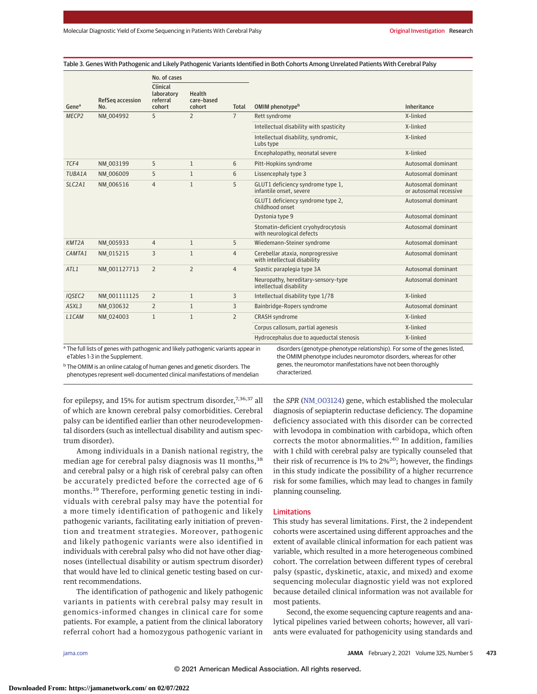Table 3. Genes With Pathogenic and Likely Pathogenic Variants Identified in Both Cohorts Among Unrelated Patients With Cerebral Palsy

|                    |                                                                                                                                                                             | No. of cases                                 |                                |                |                                                                   |                                              |  |
|--------------------|-----------------------------------------------------------------------------------------------------------------------------------------------------------------------------|----------------------------------------------|--------------------------------|----------------|-------------------------------------------------------------------|----------------------------------------------|--|
| Gene <sup>a</sup>  | <b>RefSeq accession</b><br>No.                                                                                                                                              | Clinical<br>laboratory<br>referral<br>cohort | Health<br>care-based<br>cohort | Total          | OMIM phenotypeb                                                   | Inheritance                                  |  |
| MECP <sub>2</sub>  | NM 004992                                                                                                                                                                   | 5                                            | $\overline{2}$                 | $\overline{7}$ | Rett svndrome                                                     | X-linked                                     |  |
|                    |                                                                                                                                                                             |                                              |                                |                | Intellectual disability with spasticity                           | X-linked                                     |  |
|                    |                                                                                                                                                                             |                                              |                                |                | Intellectual disability, syndromic,<br>Lubs type                  | X-linked                                     |  |
|                    |                                                                                                                                                                             |                                              |                                |                | Encephalopathy, neonatal severe                                   | X-linked                                     |  |
| TCF4               | NM 003199                                                                                                                                                                   | 5                                            | $\mathbf{1}$                   | 6              | Pitt-Hopkins syndrome                                             | Autosomal dominant                           |  |
| <b>TUBA1A</b>      | NM 006009                                                                                                                                                                   | 5                                            | $\mathbf{1}$                   | 6              | Lissencephaly type 3                                              | Autosomal dominant                           |  |
| SLC2A1             | NM 006516                                                                                                                                                                   | $\overline{4}$                               | $\mathbf{1}$                   | 5              | GLUT1 deficiency syndrome type 1,<br>infantile onset, severe      | Autosomal dominant<br>or autosomal recessive |  |
|                    |                                                                                                                                                                             |                                              |                                |                | GLUT1 deficiency syndrome type 2,<br>childhood onset              | Autosomal dominant                           |  |
|                    |                                                                                                                                                                             |                                              |                                |                | Dystonia type 9                                                   | Autosomal dominant                           |  |
|                    |                                                                                                                                                                             |                                              |                                |                | Stomatin-deficient cryohydrocytosis<br>with neurological defects  | Autosomal dominant                           |  |
| KMT <sub>2</sub> A | NM 005933                                                                                                                                                                   | $\overline{4}$                               | $\mathbf{1}$                   | 5              | Wiedemann-Steiner syndrome                                        | Autosomal dominant                           |  |
| CAMTA1             | NM 015215                                                                                                                                                                   | 3                                            | $\mathbf{1}$                   | $\overline{4}$ | Cerebellar ataxia, nonprogressive<br>with intellectual disability | Autosomal dominant                           |  |
| ATL1               | NM 001127713                                                                                                                                                                | $\overline{2}$                               | $\overline{2}$                 | $\overline{4}$ | Spastic paraplegia type 3A                                        | Autosomal dominant                           |  |
|                    |                                                                                                                                                                             |                                              |                                |                | Neuropathy, hereditary-sensory-type<br>intellectual disability    | Autosomal dominant                           |  |
| IQSEC2             | NM 001111125                                                                                                                                                                | $\overline{2}$                               | $\mathbf{1}$                   | 3              | Intellectual disability type 1/78                                 | X-linked                                     |  |
| ASXL3              | NM 030632                                                                                                                                                                   | $\overline{2}$                               | $\mathbf{1}$                   | 3              | Bainbridge-Ropers syndrome                                        | Autosomal dominant                           |  |
| L1CAM              | NM 024003                                                                                                                                                                   | $\mathbf{1}$                                 | $\mathbf{1}$                   | $\overline{2}$ | <b>CRASH</b> syndrome                                             | X-linked                                     |  |
|                    |                                                                                                                                                                             |                                              |                                |                | Corpus callosum, partial agenesis                                 | X-linked                                     |  |
|                    |                                                                                                                                                                             |                                              |                                |                | Hydrocephalus due to aqueductal stenosis                          | X-linked                                     |  |
|                    | <sup>a</sup> The full lists of genes with pathogenic and likely pathogenic variants appear in<br>disorders (genotype-phenotype relationship). For some of the genes listed, |                                              |                                |                |                                                                   |                                              |  |

eTables 1-3 in the Supplement.

<sup>b</sup> The OMIM is an online catalog of human genes and genetic disorders. The phenotypes represent well-documented clinical manifestations of mendelian

disorders (genotype-phenotype relationship). For some of the genes listed, the OMIM phenotype includes neuromotor disorders, whereas for other genes, the neuromotor manifestations have not been thoroughly characterized.

for epilepsy, and 15% for autism spectrum disorder,<sup>7,36,37</sup> all of which are known cerebral palsy comorbidities. Cerebral palsy can be identified earlier than other neurodevelopmental disorders (such as intellectual disability and autism spectrum disorder).

Among individuals in a Danish national registry, the median age for cerebral palsy diagnosis was 11 months, 38 and cerebral palsy or a high risk of cerebral palsy can often be accurately predicted before the corrected age of 6 months.<sup>39</sup> Therefore, performing genetic testing in individuals with cerebral palsy may have the potential for a more timely identification of pathogenic and likely pathogenic variants, facilitating early initiation of prevention and treatment strategies. Moreover, pathogenic and likely pathogenic variants were also identified in individuals with cerebral palsy who did not have other diagnoses (intellectual disability or autism spectrum disorder) that would have led to clinical genetic testing based on current recommendations.

The identification of pathogenic and likely pathogenic variants in patients with cerebral palsy may result in genomics-informed changes in clinical care for some patients. For example, a patient from the clinical laboratory referral cohort had a homozygous pathogenic variant in the *SPR* [\(NM\\_003124\)](https://www.ncbi.nlm.nih.gov/nuccore/NM_003124) gene, which established the molecular diagnosis of sepiapterin reductase deficiency. The dopamine deficiency associated with this disorder can be corrected with levodopa in combination with carbidopa, which often corrects the motor abnormalities.<sup>40</sup> In addition, families with 1 child with cerebral palsy are typically counseled that their risk of recurrence is 1% to  $2\frac{6}{2}$ ; however, the findings in this study indicate the possibility of a higher recurrence risk for some families, which may lead to changes in family planning counseling.

### Limitations

This study has several limitations. First, the 2 independent cohorts were ascertained using different approaches and the extent of available clinical information for each patient was variable, which resulted in a more heterogeneous combined cohort. The correlation between different types of cerebral palsy (spastic, dyskinetic, ataxic, and mixed) and exome sequencing molecular diagnostic yield was not explored because detailed clinical information was not available for most patients.

Second, the exome sequencing capture reagents and analytical pipelines varied between cohorts; however, all variants were evaluated for pathogenicity using standards and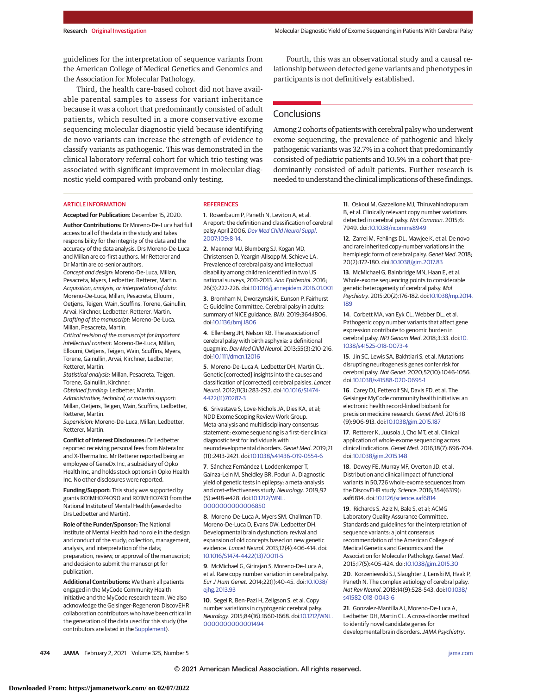guidelines for the interpretation of sequence variants from the American College of Medical Genetics and Genomics and the Association for Molecular Pathology.

Third, the health care–based cohort did not have available parental samples to assess for variant inheritance because it was a cohort that predominantly consisted of adult patients, which resulted in a more conservative exome sequencing molecular diagnostic yield because identifying de novo variants can increase the strength of evidence to classify variants as pathogenic. This was demonstrated in the clinical laboratory referral cohort for which trio testing was associated with significant improvement in molecular diagnostic yield compared with proband only testing.

Fourth, this was an observational study and a causal relationship between detected gene variants and phenotypes in participants is not definitively established.

# **Conclusions**

Among 2 cohorts of patients with cerebral palsy who underwent exome sequencing, the prevalence of pathogenic and likely pathogenic variants was 32.7% in a cohort that predominantly consisted of pediatric patients and 10.5% in a cohort that predominantly consisted of adult patients. Further research is needed to understand the clinical implications of these findings.

#### ARTICLE INFORMATION

**Accepted for Publication:** December 15, 2020.

**Author Contributions:** Dr Moreno-De-Luca had full access to all of the data in the study and takes responsibility for the integrity of the data and the accuracy of the data analysis. Drs Moreno-De-Luca and Millan are co-first authors. Mr Retterer and Dr Martin are co-senior authors.

Concept and design: Moreno-De-Luca, Millan, Pesacreta, Myers, Ledbetter, Retterer, Martin. Acquisition, analysis, or interpretation of data: Moreno-De-Luca, Millan, Pesacreta, Elloumi, Oetjens, Teigen, Wain, Scuffins, Torene, Gainullin, Arvai, Kirchner, Ledbetter, Retterer, Martin. Drafting of the manuscript: Moreno-De-Luca, Millan, Pesacreta, Martin.

Critical revision of the manuscript for important intellectual content: Moreno-De-Luca, Millan, Elloumi, Oetjens, Teigen, Wain, Scuffins, Myers, Torene, Gainullin, Arvai, Kirchner, Ledbetter, Retterer, Martin.

Statistical analysis: Millan, Pesacreta, Teigen, Torene, Gainullin, Kirchner.

Obtained funding: Ledbetter, Martin.

Administrative, technical, or material support: Millan, Oetjens, Teigen, Wain, Scuffins, Ledbetter, Retterer, Martin.

Supervision: Moreno-De-Luca, Millan, Ledbetter, Retterer, Martin.

**Conflict of Interest Disclosures:** Dr Ledbetter reported receiving personal fees from Natera Inc and X-Therma Inc. Mr Retterer reported being an employee of GeneDx Inc, a subsidiary of Opko Health Inc, and holds stock options in Opko Health Inc. No other disclosures were reported.

**Funding/Support:** This study was supported by grants R01MH074090 and R01MH107431 from the National Institute of Mental Health (awarded to Drs Ledbetter and Martin).

**Role of the Funder/Sponsor:** The National Institute of Mental Health had no role in the design and conduct of the study; collection, management, analysis, and interpretation of the data; preparation, review, or approval of the manuscript; and decision to submit the manuscript for publication.

**Additional Contributions:** We thank all patients engaged in the MyCode Community Health Initiative and the MyCode research team. We also acknowledge the Geisinger-Regeneron DiscovEHR collaboration contributors who have been critical in the generation of the data used for this study (the contributors are listed in the [Supplement\)](https://jamanetwork.com/journals/jama/fullarticle/10.1001/jama.2020.26148?utm_campaign=articlePDF%26utm_medium=articlePDFlink%26utm_source=articlePDF%26utm_content=jama.2020.26148).

#### **REFERENCES**

**1**. Rosenbaum P, Paneth N, Leviton A, et al. A report: the definition and classification of cerebral palsy April 2006. [Dev Med Child Neurol Suppl](https://www.ncbi.nlm.nih.gov/pubmed/17370477). [2007;109:8-14.](https://www.ncbi.nlm.nih.gov/pubmed/17370477)

**2**. Maenner MJ, Blumberg SJ, Kogan MD, Christensen D, Yeargin-Allsopp M, Schieve LA. Prevalence of cerebral palsy and intellectual disability among children identified in two US national surveys, 2011-2013. Ann Epidemiol. 2016; 26(3):222-226. doi[:10.1016/j.annepidem.2016.01.001](https://dx.doi.org/10.1016/j.annepidem.2016.01.001)

**3**. Bromham N, Dworzynski K, Eunson P, Fairhurst C; Guideline Committee. Cerebral palsy in adults: summary of NICE guidance. BMJ. 2019;364:l806. doi[:10.1136/bmj.l806](https://dx.doi.org/10.1136/bmj.l806)

**4**. Ellenberg JH, Nelson KB. The association of cerebral palsy with birth asphyxia: a definitional quagmire. Dev Med Child Neurol. 2013;55(3):210-216. doi[:10.1111/dmcn.12016](https://dx.doi.org/10.1111/dmcn.12016)

**5**. Moreno-De-Luca A, Ledbetter DH, Martin CL. Genetic [corrected] insights into the causes and classification of [corrected] cerebral palsies. Lancet Neurol. 2012;11(3):283-292. doi[:10.1016/S1474-](https://dx.doi.org/10.1016/S1474-4422(11)70287-3) [4422\(11\)70287-3](https://dx.doi.org/10.1016/S1474-4422(11)70287-3)

**6**. Srivastava S, Love-Nichols JA, Dies KA, et al; NDD Exome Scoping Review Work Group. Meta-analysis and multidisciplinary consensus statement: exome sequencing is a first-tier clinical diagnostic test for individuals with neurodevelopmental disorders. Genet Med. 2019;21 (11):2413-2421. doi[:10.1038/s41436-019-0554-6](https://dx.doi.org/10.1038/s41436-019-0554-6)

**7**. Sánchez Fernández I, Loddenkemper T, Gaínza-Lein M, Sheidley BR, Poduri A. Diagnostic yield of genetic tests in epilepsy: a meta-analysis and cost-effectiveness study. Neurology. 2019;92 (5):e418-e428. doi[:10.1212/WNL.](https://dx.doi.org/10.1212/WNL.0000000000006850) [0000000000006850](https://dx.doi.org/10.1212/WNL.0000000000006850)

**8**. Moreno-De-Luca A, Myers SM, Challman TD, Moreno-De-Luca D, Evans DW, Ledbetter DH. Developmental brain dysfunction: revival and expansion of old concepts based on new genetic evidence. Lancet Neurol. 2013;12(4):406-414. doi: [10.1016/S1474-4422\(13\)70011-5](https://dx.doi.org/10.1016/S1474-4422(13)70011-5)

**9**. McMichael G, Girirajan S, Moreno-De-Luca A, et al. Rare copy number variation in cerebral palsy. Eur J Hum Genet. 2014;22(1):40-45. doi[:10.1038/](https://dx.doi.org/10.1038/ejhg.2013.93) [ejhg.2013.93](https://dx.doi.org/10.1038/ejhg.2013.93)

**10**. Segel R, Ben-Pazi H, Zeligson S, et al. Copy number variations in cryptogenic cerebral palsy. Neurology. 2015;84(16):1660-1668. doi[:10.1212/WNL.](https://dx.doi.org/10.1212/WNL.0000000000001494) [0000000000001494](https://dx.doi.org/10.1212/WNL.0000000000001494)

**11**. Oskoui M, Gazzellone MJ, Thiruvahindrapuram B, et al. Clinically relevant copy number variations detected in cerebral palsy. Nat Commun. 2015;6: 7949. doi[:10.1038/ncomms8949](https://dx.doi.org/10.1038/ncomms8949)

**12**. Zarrei M, Fehlings DL, Mawjee K, et al. De novo and rare inherited copy-number variations in the hemiplegic form of cerebral palsy. Genet Med. 2018; 20(2):172-180. doi[:10.1038/gim.2017.83](https://dx.doi.org/10.1038/gim.2017.83)

**13**. McMichael G, Bainbridge MN, Haan E, et al. Whole-exome sequencing points to considerable genetic heterogeneity of cerebral palsy. Mol Psychiatry. 2015;20(2):176-182. doi[:10.1038/mp.2014.](https://dx.doi.org/10.1038/mp.2014.189) [189](https://dx.doi.org/10.1038/mp.2014.189)

**14**. Corbett MA, van Eyk CL, Webber DL, et al. Pathogenic copy number variants that affect gene expression contribute to genomic burden in cerebral palsy. NPJ Genom Med. 2018;3:33. doi[:10.](https://dx.doi.org/10.1038/s41525-018-0073-4) [1038/s41525-018-0073-4](https://dx.doi.org/10.1038/s41525-018-0073-4)

**15**. Jin SC, Lewis SA, Bakhtiari S, et al. Mutations disrupting neuritogenesis genes confer risk for cerebral palsy. Nat Genet. 2020;52(10):1046-1056. doi[:10.1038/s41588-020-0695-1](https://dx.doi.org/10.1038/s41588-020-0695-1)

**16**. Carey DJ, Fetterolf SN, Davis FD, et al. The Geisinger MyCode community health initiative: an electronic health record-linked biobank for precision medicine research. Genet Med. 2016;18 (9):906-913. doi[:10.1038/gim.2015.187](https://dx.doi.org/10.1038/gim.2015.187)

**17**. Retterer K, Juusola J, Cho MT, et al. Clinical application of whole-exome sequencing across clinical indications. Genet Med. 2016;18(7):696-704. doi[:10.1038/gim.2015.148](https://dx.doi.org/10.1038/gim.2015.148)

**18**. Dewey FE, Murray MF, Overton JD, et al. Distribution and clinical impact of functional variants in 50,726 whole-exome sequences from the DiscovEHR study. Science. 2016;354(6319): aaf6814. doi[:10.1126/science.aaf6814](https://dx.doi.org/10.1126/science.aaf6814)

**19**. Richards S, Aziz N, Bale S, et al; ACMG Laboratory Quality Assurance Committee. Standards and guidelines for the interpretation of sequence variants: a joint consensus recommendation of the American College of Medical Genetics and Genomics and the Association for Molecular Pathology. Genet Med. 2015;17(5):405-424. doi[:10.1038/gim.2015.30](https://dx.doi.org/10.1038/gim.2015.30)

**20**. Korzeniewski SJ, Slaughter J, Lenski M, Haak P, Paneth N. The complex aetiology of cerebral palsy. Nat Rev Neurol. 2018;14(9):528-543. doi[:10.1038/](https://dx.doi.org/10.1038/s41582-018-0043-6) [s41582-018-0043-6](https://dx.doi.org/10.1038/s41582-018-0043-6)

**21**. Gonzalez-Mantilla AJ, Moreno-De-Luca A, Ledbetter DH, Martin CL. A cross-disorder method to identify novel candidate genes for developmental brain disorders.JAMA Psychiatry.